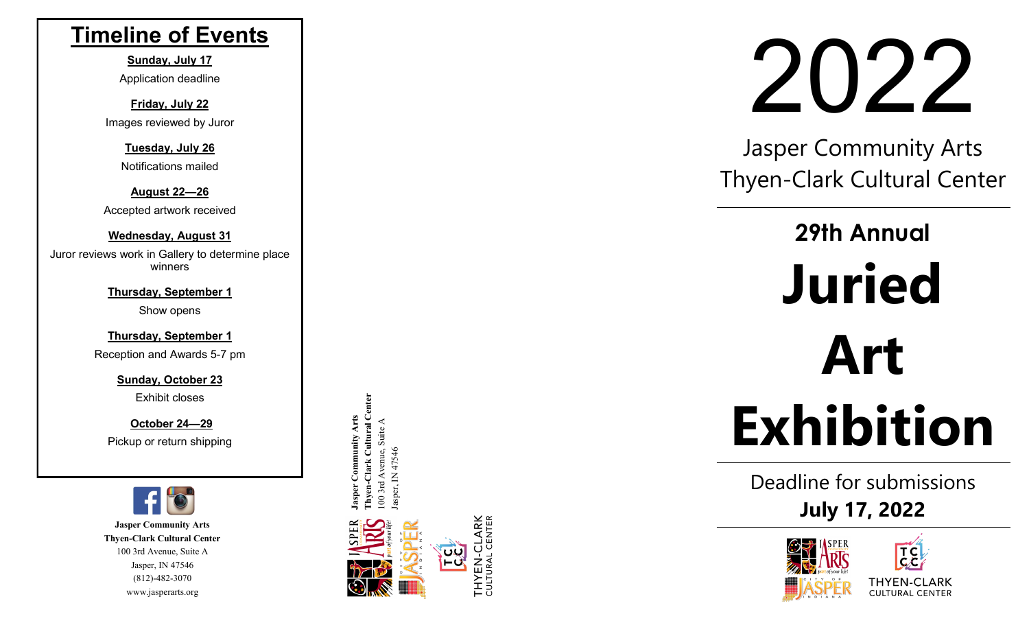## **Timeline of Events**

**Sunday, July 17** Application deadline

**Friday, July 22** Images reviewed by Juror

> **Tuesday, July 26** Notifications mailed

**August 22 —26** Accepted artwork received

**Wednesday, August 31** Juror reviews work in Gallery to determine place winners

> **Thursday, September 1** Show opens

**Thursday, September 1**

Reception and Awards 5 -7 pm

**Sunday, October 23** Exhibit closes

**October 24 —29** Pickup or return shipping



**Jasper Community Arts Thyen -Clark Cultural Center** 100 3rd Avenue, Suite A Jasper, IN 47546 (812) -482 -3070 www.jasperarts.org

ssper Community Arts<br>hyen-Clark Cultural Center **Thyen-Clark Cultural Center Jasper Community Arts**  00 3rd Avenue, Suite A 100 3rd Avenue, Suite A

per. IN 47546



# 2022

Jasper Community Arts Thyen -Clark Cultural Center

٦

# **29th Annual Juried Art Exhibition**

Deadline for submissions **July 17, 2022**